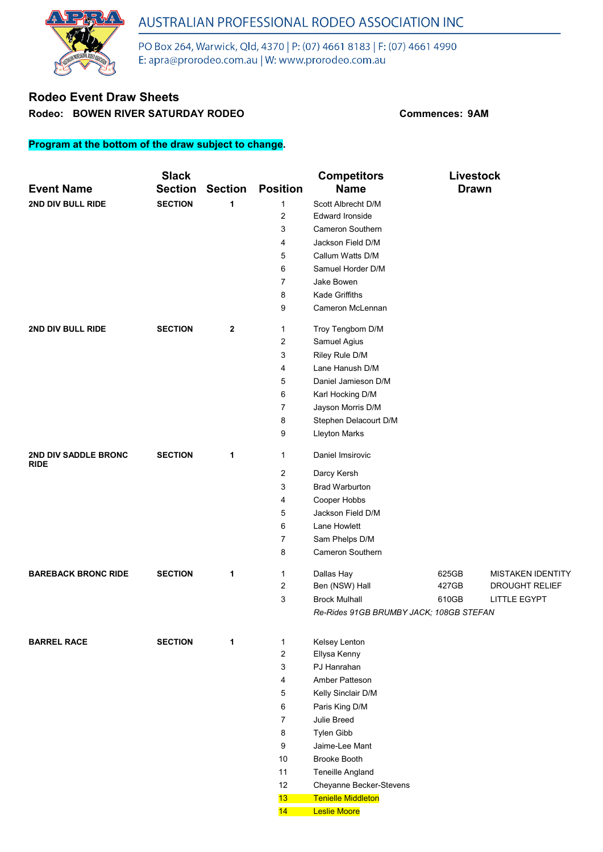

PO Box 264, Warwick, Qld, 4370 | P: (07) 4661 8183 | F: (07) 4661 4990 E: apra@prorodeo.com.au | W: www.prorodeo.com.au

### **Rodeo Event Draw Sheets Rodeo: BOWEN RIVER SATURDAY RODEO Commences: 9AM**

#### **Program at the bottom of the draw subject to change.**

|                             | <b>Slack</b>   |                  |                 | <b>Competitors</b>                                 | Livestock    |                          |
|-----------------------------|----------------|------------------|-----------------|----------------------------------------------------|--------------|--------------------------|
| <b>Event Name</b>           | <b>Section</b> | <b>Section</b>   | <b>Position</b> | <b>Name</b>                                        | <b>Drawn</b> |                          |
| 2ND DIV BULL RIDE           | <b>SECTION</b> | 1                | 1               | Scott Albrecht D/M                                 |              |                          |
|                             |                |                  | 2               | <b>Edward Ironside</b>                             |              |                          |
|                             |                |                  | 3               | <b>Cameron Southern</b>                            |              |                          |
|                             |                |                  | 4               | Jackson Field D/M                                  |              |                          |
|                             |                |                  | 5               | Callum Watts D/M                                   |              |                          |
|                             |                |                  | 6               | Samuel Horder D/M                                  |              |                          |
|                             |                |                  | 7               | Jake Bowen                                         |              |                          |
|                             |                |                  | 8               | <b>Kade Griffiths</b>                              |              |                          |
|                             |                |                  | 9               | Cameron McLennan                                   |              |                          |
| 2ND DIV BULL RIDE           | <b>SECTION</b> | $\boldsymbol{2}$ | 1               | Troy Tengbom D/M                                   |              |                          |
|                             |                |                  | 2               | Samuel Agius                                       |              |                          |
|                             |                |                  | 3               | Riley Rule D/M                                     |              |                          |
|                             |                |                  | 4               | Lane Hanush D/M                                    |              |                          |
|                             |                |                  | 5               | Daniel Jamieson D/M                                |              |                          |
|                             |                |                  | 6               | Karl Hocking D/M                                   |              |                          |
|                             |                |                  | 7               | Jayson Morris D/M                                  |              |                          |
|                             |                |                  | 8               | Stephen Delacourt D/M                              |              |                          |
|                             |                |                  | 9               | <b>Lleyton Marks</b>                               |              |                          |
| <b>2ND DIV SADDLE BRONC</b> | <b>SECTION</b> | 1                | 1               | Daniel Imsirovic                                   |              |                          |
| <b>RIDE</b>                 |                |                  | 2               | Darcy Kersh                                        |              |                          |
|                             |                |                  | 3               | <b>Brad Warburton</b>                              |              |                          |
|                             |                |                  | 4               | Cooper Hobbs                                       |              |                          |
|                             |                |                  | 5               | Jackson Field D/M                                  |              |                          |
|                             |                |                  | 6               | Lane Howlett                                       |              |                          |
|                             |                |                  | 7               | Sam Phelps D/M                                     |              |                          |
|                             |                |                  | 8               | <b>Cameron Southern</b>                            |              |                          |
| <b>BAREBACK BRONC RIDE</b>  | <b>SECTION</b> | 1                | 1               | Dallas Hay                                         | 625GB        | <b>MISTAKEN IDENTITY</b> |
|                             |                |                  | 2               | Ben (NSW) Hall                                     | 427GB        | <b>DROUGHT RELIEF</b>    |
|                             |                |                  | 3               | <b>Brock Mulhall</b>                               | 610GB        | LITTLE EGYPT             |
|                             |                |                  |                 | Re-Rides 91GB BRUMBY JACK; 108GB STEFAN            |              |                          |
|                             |                |                  |                 |                                                    |              |                          |
| <b>BARREL RACE</b>          | <b>SECTION</b> | 1                | 1               | Kelsey Lenton                                      |              |                          |
|                             |                |                  | 2               | Ellysa Kenny                                       |              |                          |
|                             |                |                  | 3               | PJ Hanrahan                                        |              |                          |
|                             |                |                  | 4               | Amber Patteson                                     |              |                          |
|                             |                |                  | 5               | Kelly Sinclair D/M                                 |              |                          |
|                             |                |                  | 6               | Paris King D/M                                     |              |                          |
|                             |                |                  | 7               | Julie Breed                                        |              |                          |
|                             |                |                  | 8               | Tylen Gibb<br>Jaime-Lee Mant                       |              |                          |
|                             |                |                  | 9<br>10         | <b>Brooke Booth</b>                                |              |                          |
|                             |                |                  |                 |                                                    |              |                          |
|                             |                |                  | 11<br>12        | <b>Teneille Angland</b><br>Cheyanne Becker-Stevens |              |                          |
|                             |                |                  | 13              | <b>Tenielle Middleton</b>                          |              |                          |
|                             |                |                  | 14              | <b>Leslie Moore</b>                                |              |                          |
|                             |                |                  |                 |                                                    |              |                          |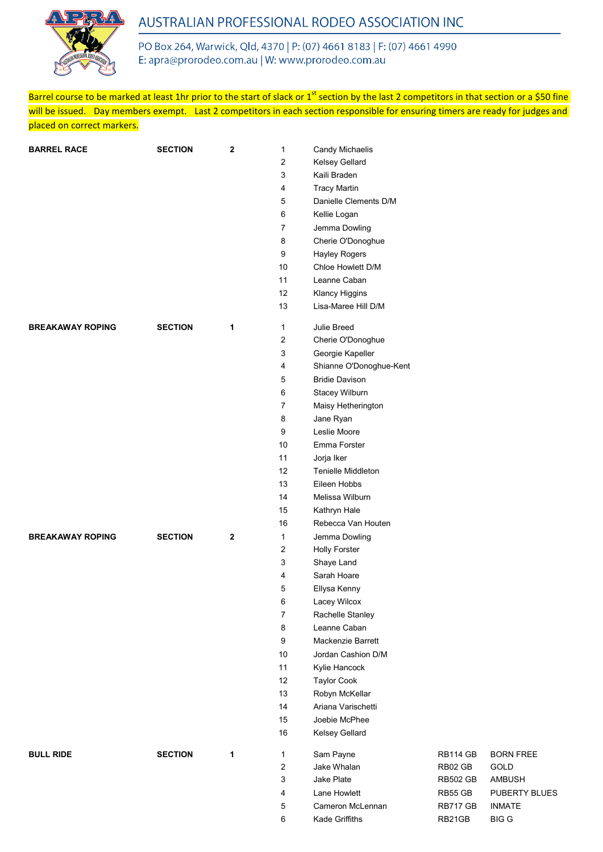

PO Box 264, Warwick, Qld, 4370 | P: (07) 4661 8183 | F: (07) 4661 4990 E: apra@prorodeo.com.au | W: www.prorodeo.com.au

Barrel course to be marked at least 1hr prior to the start of slack or 1<sup>st</sup> section by the last 2 competitors in that section or a \$50 fine will be issued. Day members exempt. Last 2 competitors in each section responsible for ensuring timers are ready for judges and placed on correct markers.

| <b>BARREL RACE</b>      | <b>SECTION</b> | $\mathbf{2}$ | 1                | Candy Michaelis           |                 |                  |
|-------------------------|----------------|--------------|------------------|---------------------------|-----------------|------------------|
|                         |                |              | 2                | Kelsey Gellard            |                 |                  |
|                         |                |              | 3                | Kaili Braden              |                 |                  |
|                         |                |              | 4                | <b>Tracy Martin</b>       |                 |                  |
|                         |                |              | 5                | Danielle Clements D/M     |                 |                  |
|                         |                |              | 6                | Kellie Logan              |                 |                  |
|                         |                |              | $\overline{7}$   | Jemma Dowling             |                 |                  |
|                         |                |              | 8                | Cherie O'Donoghue         |                 |                  |
|                         |                |              | 9                | Hayley Rogers             |                 |                  |
|                         |                |              | 10               | Chloe Howlett D/M         |                 |                  |
|                         |                |              | 11               | Leanne Caban              |                 |                  |
|                         |                |              | 12               | Klancy Higgins            |                 |                  |
|                         |                |              | 13               | Lisa-Maree Hill D/M       |                 |                  |
| <b>BREAKAWAY ROPING</b> | <b>SECTION</b> | 1            | 1                | Julie Breed               |                 |                  |
|                         |                |              | $\sqrt{2}$       | Cherie O'Donoghue         |                 |                  |
|                         |                |              | 3                | Georgie Kapeller          |                 |                  |
|                         |                |              | 4                | Shianne O'Donoghue-Kent   |                 |                  |
|                         |                |              | 5                | <b>Bridie Davison</b>     |                 |                  |
|                         |                |              | 6                | Stacey Wilburn            |                 |                  |
|                         |                |              | $\overline{7}$   | Maisy Hetherington        |                 |                  |
|                         |                |              | 8                | Jane Ryan                 |                 |                  |
|                         |                |              | 9                | Leslie Moore              |                 |                  |
|                         |                |              | 10               | Emma Forster              |                 |                  |
|                         |                |              | 11               | Jorja Iker                |                 |                  |
|                         |                |              | 12               | <b>Tenielle Middleton</b> |                 |                  |
|                         |                |              | 13               | Eileen Hobbs              |                 |                  |
|                         |                |              | 14               | Melissa Wilburn           |                 |                  |
|                         |                |              | 15               | Kathryn Hale              |                 |                  |
|                         |                |              | 16               | Rebecca Van Houten        |                 |                  |
| <b>BREAKAWAY ROPING</b> | <b>SECTION</b> | $\mathbf{2}$ | 1                | Jemma Dowling             |                 |                  |
|                         |                |              | $\overline{c}$   | <b>Holly Forster</b>      |                 |                  |
|                         |                |              | 3                | Shaye Land                |                 |                  |
|                         |                |              | 4                | Sarah Hoare               |                 |                  |
|                         |                |              | 5                | Ellysa Kenny              |                 |                  |
|                         |                |              | $\,6\,$          | Lacey Wilcox              |                 |                  |
|                         |                |              | $\boldsymbol{7}$ | Rachelle Stanley          |                 |                  |
|                         |                |              | 8                | Leanne Caban              |                 |                  |
|                         |                |              | 9                | Mackenzie Barrett         |                 |                  |
|                         |                |              | 10               | Jordan Cashion D/M        |                 |                  |
|                         |                |              | 11               | Kylie Hancock             |                 |                  |
|                         |                |              | 12               | <b>Taylor Cook</b>        |                 |                  |
|                         |                |              | $13$             | Robyn McKellar            |                 |                  |
|                         |                |              | 14               | Ariana Varischetti        |                 |                  |
|                         |                |              | 15               | Joebie McPhee             |                 |                  |
|                         |                |              | $16\,$           | Kelsey Gellard            |                 |                  |
| <b>BULL RIDE</b>        | <b>SECTION</b> | 1            | 1                | Sam Payne                 | RB114 GB        | <b>BORN FREE</b> |
|                         |                |              | $\sqrt{2}$       | Jake Whalan               | RB02 GB         | GOLD             |
|                         |                |              | 3                | Jake Plate                | <b>RB502 GB</b> | <b>AMBUSH</b>    |
|                         |                |              | 4                | Lane Howlett              | RB55 GB         | PUBERTY BLUES    |
|                         |                |              | $\overline{5}$   | Cameron McLennan          | RB717 GB        | <b>INMATE</b>    |
|                         |                |              | 6                | Kade Griffiths            | RB21GB          | <b>BIG G</b>     |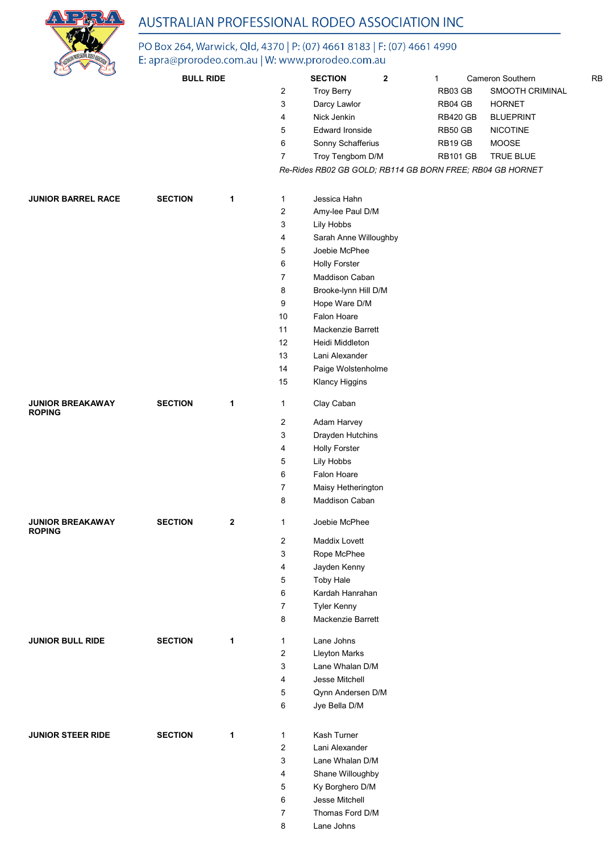

# PO Box 264, Warwick, Qld, 4370 | P: (07) 4661 8183 | F: (07) 4661 4990<br>E: apra@prorodeo.com.au | W: www.prorodeo.com.au

| $\mathbb{C}$                             | <b>BULL RIDE</b> |              |                | <b>SECTION</b>         | $\mathbf{2}$ | 1                                                         | Cameron Southern | <b>RB</b> |
|------------------------------------------|------------------|--------------|----------------|------------------------|--------------|-----------------------------------------------------------|------------------|-----------|
|                                          |                  |              | 2              | <b>Troy Berry</b>      |              | RB03 GB                                                   | SMOOTH CRIMINAL  |           |
|                                          |                  |              | 3              | Darcy Lawlor           |              | RB04 GB                                                   | <b>HORNET</b>    |           |
|                                          |                  |              | 4              | Nick Jenkin            |              | <b>RB420 GB</b>                                           | <b>BLUEPRINT</b> |           |
|                                          |                  |              | 5              | <b>Edward Ironside</b> |              | RB50 GB                                                   | <b>NICOTINE</b>  |           |
|                                          |                  |              | 6              | Sonny Schafferius      |              | RB19 GB                                                   | MOOSE            |           |
|                                          |                  |              | 7              | Troy Tengbom D/M       |              | <b>RB101 GB</b>                                           | TRUE BLUE        |           |
|                                          |                  |              |                |                        |              | Re-Rides RB02 GB GOLD; RB114 GB BORN FREE; RB04 GB HORNET |                  |           |
|                                          |                  |              |                |                        |              |                                                           |                  |           |
| <b>JUNIOR BARREL RACE</b>                |                  |              |                |                        |              |                                                           |                  |           |
|                                          | <b>SECTION</b>   | 1            | 1              | Jessica Hahn           |              |                                                           |                  |           |
|                                          |                  |              | 2              | Amy-lee Paul D/M       |              |                                                           |                  |           |
|                                          |                  |              | 3              | Lily Hobbs             |              |                                                           |                  |           |
|                                          |                  |              | 4              | Sarah Anne Willoughby  |              |                                                           |                  |           |
|                                          |                  |              | 5              | Joebie McPhee          |              |                                                           |                  |           |
|                                          |                  |              | 6              | <b>Holly Forster</b>   |              |                                                           |                  |           |
|                                          |                  |              | 7              | Maddison Caban         |              |                                                           |                  |           |
|                                          |                  |              | 8              | Brooke-lynn Hill D/M   |              |                                                           |                  |           |
|                                          |                  |              | 9              | Hope Ware D/M          |              |                                                           |                  |           |
|                                          |                  |              | 10             | Falon Hoare            |              |                                                           |                  |           |
|                                          |                  |              | 11             | Mackenzie Barrett      |              |                                                           |                  |           |
|                                          |                  |              | 12             | Heidi Middleton        |              |                                                           |                  |           |
|                                          |                  |              | 13             | Lani Alexander         |              |                                                           |                  |           |
|                                          |                  |              | 14             | Paige Wolstenholme     |              |                                                           |                  |           |
|                                          |                  |              | 15             | Klancy Higgins         |              |                                                           |                  |           |
| <b>JUNIOR BREAKAWAY</b><br><b>ROPING</b> | <b>SECTION</b>   | 1            | 1              | Clay Caban             |              |                                                           |                  |           |
|                                          |                  |              | $\overline{c}$ | Adam Harvey            |              |                                                           |                  |           |
|                                          |                  |              | 3              | Drayden Hutchins       |              |                                                           |                  |           |
|                                          |                  |              | 4              | <b>Holly Forster</b>   |              |                                                           |                  |           |
|                                          |                  |              | 5              | Lily Hobbs             |              |                                                           |                  |           |
|                                          |                  |              | 6              | Falon Hoare            |              |                                                           |                  |           |
|                                          |                  |              | 7              | Maisy Hetherington     |              |                                                           |                  |           |
|                                          |                  |              | 8              | Maddison Caban         |              |                                                           |                  |           |
| <b>JUNIOR BREAKAWAY</b><br><b>ROPING</b> | <b>SECTION</b>   | $\mathbf{2}$ | 1              | Joebie McPhee          |              |                                                           |                  |           |
|                                          |                  |              | $\overline{c}$ | Maddix Lovett          |              |                                                           |                  |           |
|                                          |                  |              | 3              | Rope McPhee            |              |                                                           |                  |           |
|                                          |                  |              | 4              | Jayden Kenny           |              |                                                           |                  |           |
|                                          |                  |              | 5              | <b>Toby Hale</b>       |              |                                                           |                  |           |
|                                          |                  |              | 6              | Kardah Hanrahan        |              |                                                           |                  |           |
|                                          |                  |              | 7              | <b>Tyler Kenny</b>     |              |                                                           |                  |           |
|                                          |                  |              | 8              | Mackenzie Barrett      |              |                                                           |                  |           |
| <b>JUNIOR BULL RIDE</b>                  | <b>SECTION</b>   | 1            |                | Lane Johns             |              |                                                           |                  |           |
|                                          |                  |              | 1<br>2         | <b>Lleyton Marks</b>   |              |                                                           |                  |           |
|                                          |                  |              | 3              | Lane Whalan D/M        |              |                                                           |                  |           |
|                                          |                  |              | 4              | Jesse Mitchell         |              |                                                           |                  |           |
|                                          |                  |              | 5              | Qynn Andersen D/M      |              |                                                           |                  |           |
|                                          |                  |              | 6              | Jye Bella D/M          |              |                                                           |                  |           |
|                                          |                  |              |                |                        |              |                                                           |                  |           |
| <b>JUNIOR STEER RIDE</b>                 | <b>SECTION</b>   | 1            | $\mathbf{1}$   | Kash Turner            |              |                                                           |                  |           |
|                                          |                  |              | 2              | Lani Alexander         |              |                                                           |                  |           |
|                                          |                  |              | 3              | Lane Whalan D/M        |              |                                                           |                  |           |
|                                          |                  |              | 4              | Shane Willoughby       |              |                                                           |                  |           |
|                                          |                  |              | 5              | Ky Borghero D/M        |              |                                                           |                  |           |
|                                          |                  |              | 6              | Jesse Mitchell         |              |                                                           |                  |           |
|                                          |                  |              | 7              | Thomas Ford D/M        |              |                                                           |                  |           |
|                                          |                  |              | 8              | Lane Johns             |              |                                                           |                  |           |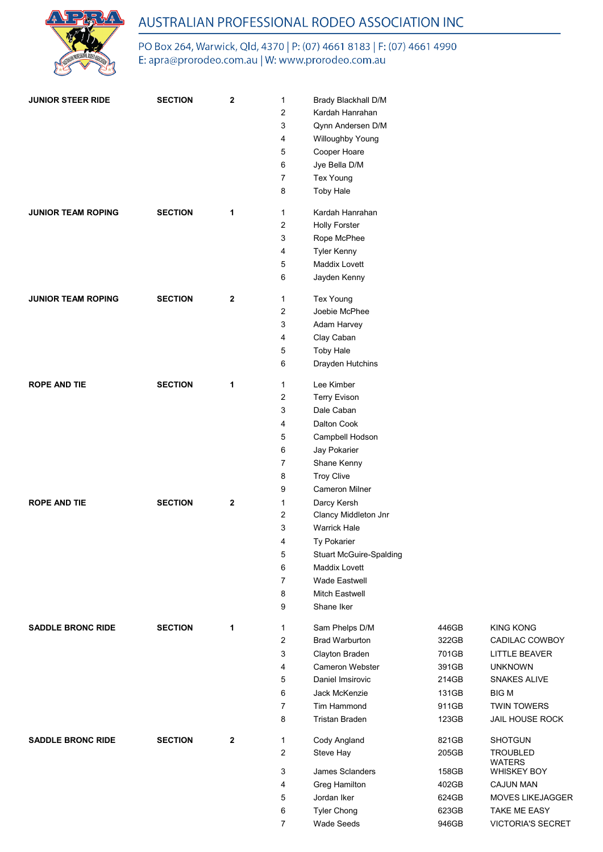

PO Box 264, Warwick, Qld, 4370 | P: (07) 4661 8183 | F: (07) 4661 4990 E: apra@prorodeo.com.au | W: www.prorodeo.com.au

| <b>JUNIOR STEER RIDE</b>  | <b>SECTION</b> | 2                | $\mathbf{1}$   | Brady Blackhall D/M                 |       |                         |
|---------------------------|----------------|------------------|----------------|-------------------------------------|-------|-------------------------|
|                           |                |                  | 2              | Kardah Hanrahan                     |       |                         |
|                           |                |                  | 3              | Qynn Andersen D/M                   |       |                         |
|                           |                |                  | 4              | Willoughby Young                    |       |                         |
|                           |                |                  | 5              | Cooper Hoare                        |       |                         |
|                           |                |                  | 6              | Jye Bella D/M                       |       |                         |
|                           |                |                  | 7              | Tex Young                           |       |                         |
|                           |                |                  | 8              | <b>Toby Hale</b>                    |       |                         |
|                           |                |                  |                |                                     |       |                         |
| <b>JUNIOR TEAM ROPING</b> | <b>SECTION</b> | 1                | $\mathbf{1}$   | Kardah Hanrahan                     |       |                         |
|                           |                |                  | 2<br>3         | <b>Holly Forster</b>                |       |                         |
|                           |                |                  | 4              | Rope McPhee                         |       |                         |
|                           |                |                  | 5              | <b>Tyler Kenny</b><br>Maddix Lovett |       |                         |
|                           |                |                  | 6              | Jayden Kenny                        |       |                         |
|                           |                |                  |                |                                     |       |                         |
| <b>JUNIOR TEAM ROPING</b> | <b>SECTION</b> | 2                | $\mathbf{1}$   | Tex Young                           |       |                         |
|                           |                |                  | 2              | Joebie McPhee                       |       |                         |
|                           |                |                  | 3              | Adam Harvey                         |       |                         |
|                           |                |                  | 4              | Clay Caban                          |       |                         |
|                           |                |                  | 5              | <b>Toby Hale</b>                    |       |                         |
|                           |                |                  | 6              | Drayden Hutchins                    |       |                         |
| <b>ROPE AND TIE</b>       | <b>SECTION</b> | 1                | $\mathbf{1}$   | Lee Kimber                          |       |                         |
|                           |                |                  | 2              | <b>Terry Evison</b>                 |       |                         |
|                           |                |                  | 3              | Dale Caban                          |       |                         |
|                           |                |                  | 4              | Dalton Cook                         |       |                         |
|                           |                |                  | 5              | Campbell Hodson                     |       |                         |
|                           |                |                  | 6              | Jay Pokarier                        |       |                         |
|                           |                |                  | 7              | Shane Kenny                         |       |                         |
|                           |                |                  | 8              | <b>Troy Clive</b>                   |       |                         |
|                           |                |                  | 9              | <b>Cameron Milner</b>               |       |                         |
| <b>ROPE AND TIE</b>       | <b>SECTION</b> | $\boldsymbol{2}$ | 1              | Darcy Kersh                         |       |                         |
|                           |                |                  | 2              | Clancy Middleton Jnr                |       |                         |
|                           |                |                  | 3              | <b>Warrick Hale</b>                 |       |                         |
|                           |                |                  | 4              | Ty Pokarier                         |       |                         |
|                           |                |                  | 5              | <b>Stuart McGuire-Spalding</b>      |       |                         |
|                           |                |                  | 6              | Maddix Lovett                       |       |                         |
|                           |                |                  | $\overline{7}$ | Wade Eastwell                       |       |                         |
|                           |                |                  | 8              | Mitch Eastwell                      |       |                         |
|                           |                |                  | 9              | Shane Iker                          |       |                         |
| <b>SADDLE BRONC RIDE</b>  | <b>SECTION</b> | 1                | 1              | Sam Phelps D/M                      | 446GB | <b>KING KONG</b>        |
|                           |                |                  | 2              | <b>Brad Warburton</b>               | 322GB | CADILAC COWBOY          |
|                           |                |                  | 3              | Clayton Braden                      | 701GB | <b>LITTLE BEAVER</b>    |
|                           |                |                  | 4              | Cameron Webster                     | 391GB | <b>UNKNOWN</b>          |
|                           |                |                  | 5              | Daniel Imsirovic                    | 214GB | SNAKES ALIVE            |
|                           |                |                  | 6              | Jack McKenzie                       | 131GB | <b>BIGM</b>             |
|                           |                |                  | 7              | Tim Hammond                         | 911GB | <b>TWIN TOWERS</b>      |
|                           |                |                  | 8              | <b>Tristan Braden</b>               | 123GB | JAIL HOUSE ROCK         |
| <b>SADDLE BRONC RIDE</b>  | <b>SECTION</b> | $\boldsymbol{2}$ | $\mathbf{1}$   | Cody Angland                        | 821GB | <b>SHOTGUN</b>          |
|                           |                |                  | 2              | Steve Hay                           | 205GB | <b>TROUBLED</b>         |
|                           |                |                  |                |                                     |       | <b>WATERS</b>           |
|                           |                |                  | 3              | James Sclanders                     | 158GB | <b>WHISKEY BOY</b>      |
|                           |                |                  | 4              | <b>Greg Hamilton</b>                | 402GB | CAJUN MAN               |
|                           |                |                  | 5              | Jordan Iker                         | 624GB | <b>MOVES LIKEJAGGER</b> |
|                           |                |                  | 6              | <b>Tyler Chong</b>                  | 623GB | TAKE ME EASY            |
|                           |                |                  | $\overline{7}$ | Wade Seeds                          | 946GB | VICTORIA'S SECRET       |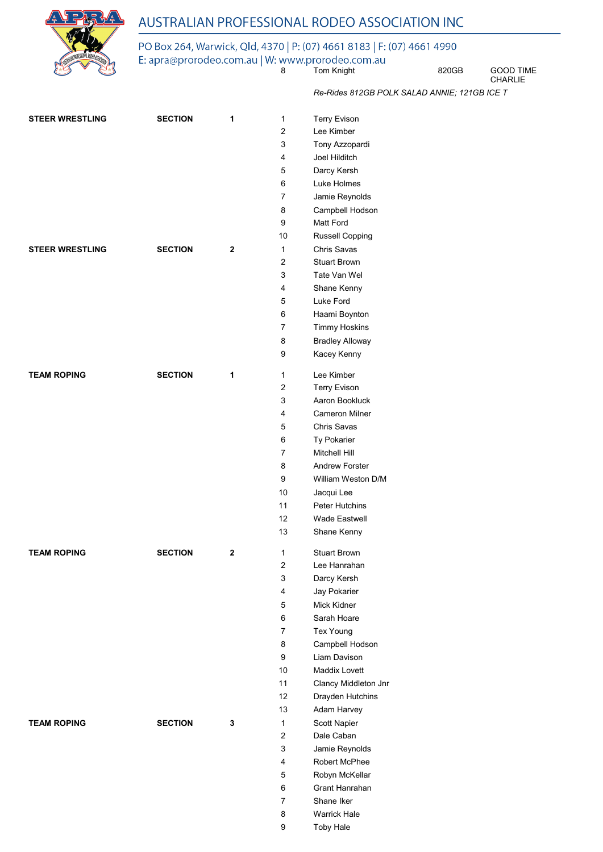

### PO Box 264, Warwick, Qld, 4370 | P: (07) 4661 8183 | F: (07) 4661 4990

E: apra@prorodeo.com.au | W: www.prorodeo.com.au<br>8 Tom Knight 820GB GOOD TIME

CHARLIE

*Re-Rides 812GB POLK SALAD ANNIE; 121GB ICE T*

| <b>STEER WRESTLING</b> | <b>SECTION</b> | 1            | $\mathbf{1}$            | <b>Terry Evison</b>    |
|------------------------|----------------|--------------|-------------------------|------------------------|
|                        |                |              | $\overline{c}$          | Lee Kimber             |
|                        |                |              | 3                       | Tony Azzopardi         |
|                        |                |              | 4                       | Joel Hilditch          |
|                        |                |              | 5                       | Darcy Kersh            |
|                        |                |              | 6                       | Luke Holmes            |
|                        |                |              | 7                       | Jamie Reynolds         |
|                        |                |              | 8                       | Campbell Hodson        |
|                        |                |              | 9                       | Matt Ford              |
|                        |                |              | 10                      | Russell Copping        |
| <b>STEER WRESTLING</b> | <b>SECTION</b> | $\mathbf{2}$ | 1                       | Chris Savas            |
|                        |                |              | $\overline{c}$          | <b>Stuart Brown</b>    |
|                        |                |              | 3                       | Tate Van Wel           |
|                        |                |              | 4                       | Shane Kenny            |
|                        |                |              | 5                       | Luke Ford              |
|                        |                |              | 6                       | Haami Boynton          |
|                        |                |              | 7                       | <b>Timmy Hoskins</b>   |
|                        |                |              | 8                       | <b>Bradley Alloway</b> |
|                        |                |              | 9                       | Kacey Kenny            |
|                        |                |              |                         |                        |
| <b>TEAM ROPING</b>     | <b>SECTION</b> | 1            | 1                       | Lee Kimber             |
|                        |                |              | 2                       | <b>Terry Evison</b>    |
|                        |                |              | 3                       | Aaron Bookluck         |
|                        |                |              | 4                       | <b>Cameron Milner</b>  |
|                        |                |              | 5                       | Chris Savas            |
|                        |                |              | 6                       | Ty Pokarier            |
|                        |                |              | 7                       | Mitchell Hill          |
|                        |                |              | 8                       | <b>Andrew Forster</b>  |
|                        |                |              | 9                       | William Weston D/M     |
|                        |                |              | 10                      | Jacqui Lee             |
|                        |                |              | 11                      | <b>Peter Hutchins</b>  |
|                        |                |              | 12                      | Wade Eastwell          |
|                        |                |              | 13                      | Shane Kenny            |
| <b>TEAM ROPING</b>     | <b>SECTION</b> | $\mathbf{2}$ | 1                       | <b>Stuart Brown</b>    |
|                        |                |              | $\overline{\mathbf{c}}$ | Lee Hanrahan           |
|                        |                |              | 3                       | Darcy Kersh            |
|                        |                |              | $\overline{\mathbf{4}}$ | Jay Pokarier           |
|                        |                |              | 5                       | Mick Kidner            |
|                        |                |              | 6                       | Sarah Hoare            |
|                        |                |              | $\overline{7}$          | Tex Young              |
|                        |                |              | 8                       | Campbell Hodson        |
|                        |                |              | 9                       | Liam Davison           |
|                        |                |              | 10                      | Maddix Lovett          |
|                        |                |              | 11                      | Clancy Middleton Jnr   |
|                        |                |              | 12                      | Drayden Hutchins       |
|                        |                |              | 13                      | Adam Harvey            |
| <b>TEAM ROPING</b>     | <b>SECTION</b> | 3            | $\mathbf{1}$            | Scott Napier           |
|                        |                |              | $\overline{2}$          | Dale Caban             |
|                        |                |              | 3                       | Jamie Reynolds         |
|                        |                |              | 4                       | Robert McPhee          |
|                        |                |              | 5                       | Robyn McKellar         |
|                        |                |              | 6                       | Grant Hanrahan         |
|                        |                |              | $\overline{7}$          | Shane Iker             |
|                        |                |              | 8                       | <b>Warrick Hale</b>    |
|                        |                |              | 9                       | <b>Toby Hale</b>       |
|                        |                |              |                         |                        |